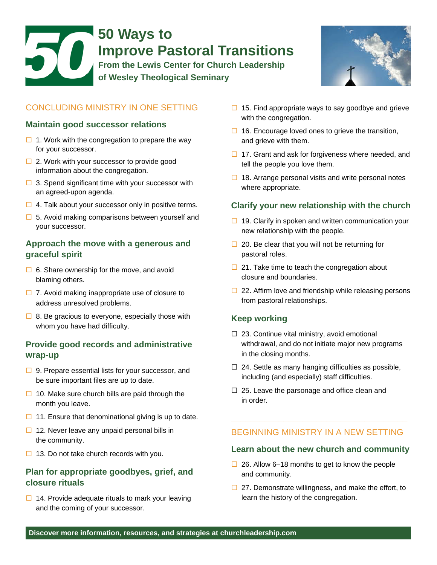# 50 **50 Ways to Improve Pastoral Transitions From the Lewis Center for Church Leadership of Wesley Theological Seminary**



## CONCLUDING MINISTRY IN ONE SETTING

### **Maintain good successor relations**

- $\Box$  1. Work with the congregation to prepare the way for your successor.
- $\Box$  2. Work with your successor to provide good information about the congregation.
- $\Box$  3. Spend significant time with your successor with an agreed-upon agenda.
- $\Box$  4. Talk about your successor only in positive terms.
- $\Box$  5. Avoid making comparisons between yourself and your successor.

### **Approach the move with a generous and graceful spirit**

- $\Box$  6. Share ownership for the move, and avoid blaming others.
- $\Box$  7. Avoid making inappropriate use of closure to address unresolved problems.
- $\Box$  8. Be gracious to everyone, especially those with whom you have had difficulty.

## **Provide good records and administrative wrap-up**

- $\Box$  9. Prepare essential lists for your successor, and be sure important files are up to date.
- $\Box$  10. Make sure church bills are paid through the month you leave.
- $\Box$  11. Ensure that denominational giving is up to date.
- $\Box$  12. Never leave any unpaid personal bills in the community.
- $\Box$  13. Do not take church records with you.

## **Plan for appropriate goodbyes, grief, and closure rituals**

 $\Box$  14. Provide adequate rituals to mark your leaving and the coming of your successor.

- $\Box$  15. Find appropriate ways to say goodbye and grieve with the congregation.
- $\Box$  16. Encourage loved ones to grieve the transition, and grieve with them.
- $\Box$  17. Grant and ask for forgiveness where needed, and tell the people you love them.
- $\Box$  18. Arrange personal visits and write personal notes where appropriate.

### **Clarify your new relationship with the church**

- $\Box$  19. Clarify in spoken and written communication your new relationship with the people.
- $\Box$  20. Be clear that you will not be returning for pastoral roles.
- $\Box$  21. Take time to teach the congregation about closure and boundaries.
- $\Box$  22. Affirm love and friendship while releasing persons from pastoral relationships.

### **Keep working**

- $\Box$  23. Continue vital ministry, avoid emotional withdrawal, and do not initiate major new programs in the closing months.
- $\Box$  24. Settle as many hanging difficulties as possible, including (and especially) staff difficulties.
- $\Box$  25. Leave the parsonage and office clean and in order.

## BEGINNING MINISTRY IN A NEW SETTING

**\_\_\_\_\_\_\_\_\_\_\_\_\_\_\_\_\_\_\_\_\_\_\_\_\_\_\_\_\_\_\_\_\_\_\_\_\_** 

### **Learn about the new church and community**

- $\Box$  26. Allow 6–18 months to get to know the people and community.
- $\Box$  27. Demonstrate willingness, and make the effort, to learn the history of the congregation.